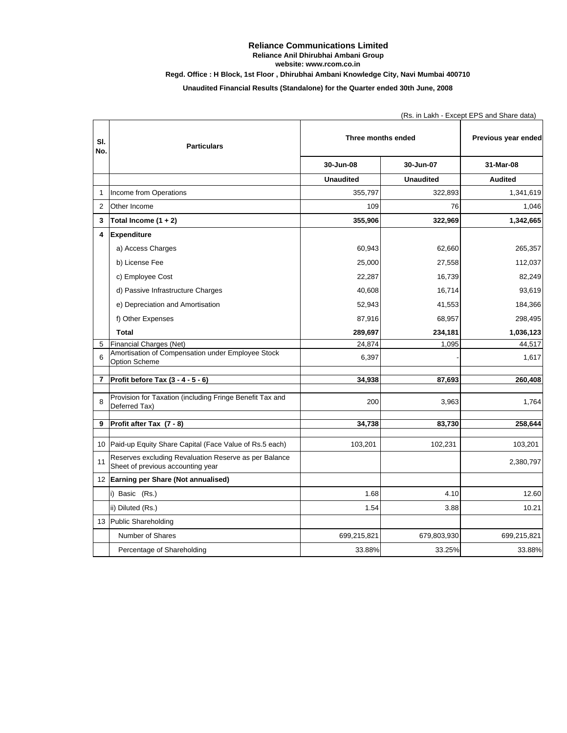## **Reliance Communications Limited Reliance Anil Dhirubhai Ambani Group website: www.rcom.co.in**

**Regd. Office : H Block, 1st Floor , Dhirubhai Ambani Knowledge City, Navi Mumbai 400710**

**Unaudited Financial Results (Standalone) for the Quarter ended 30th June, 2008**

|                |                                                                                            | (Rs. in Lakh - Except EPS and Share data) |                  |                     |  |
|----------------|--------------------------------------------------------------------------------------------|-------------------------------------------|------------------|---------------------|--|
| SI.<br>No.     | <b>Particulars</b>                                                                         | Three months ended                        |                  | Previous year ended |  |
|                |                                                                                            | 30-Jun-08                                 | 30-Jun-07        | 31-Mar-08           |  |
|                |                                                                                            | <b>Unaudited</b>                          | <b>Unaudited</b> | <b>Audited</b>      |  |
| $\mathbf{1}$   | Income from Operations                                                                     | 355,797                                   | 322,893          | 1,341,619           |  |
| $\overline{2}$ | Other Income                                                                               | 109                                       | 76               | 1,046               |  |
| 3              | Total Income $(1 + 2)$                                                                     | 355,906                                   | 322,969          | 1,342,665           |  |
| 4              | <b>Expenditure</b>                                                                         |                                           |                  |                     |  |
|                | a) Access Charges                                                                          | 60,943                                    | 62,660           | 265,357             |  |
|                | b) License Fee                                                                             | 25,000                                    | 27,558           | 112,037             |  |
|                | c) Employee Cost                                                                           | 22,287                                    | 16,739           | 82,249              |  |
|                | d) Passive Infrastructure Charges                                                          | 40,608                                    | 16,714           | 93,619              |  |
|                | e) Depreciation and Amortisation                                                           | 52,943                                    | 41,553           | 184,366             |  |
|                | f) Other Expenses                                                                          | 87,916                                    | 68,957           | 298,495             |  |
|                | <b>Total</b>                                                                               | 289,697                                   | 234,181          | 1,036,123           |  |
| 5              | Financial Charges (Net)                                                                    | 24,874                                    | 1,095            | 44,517              |  |
| 6              | Amortisation of Compensation under Employee Stock<br>Option Scheme                         | 6,397                                     |                  | 1,617               |  |
| $\overline{7}$ | Profit before Tax (3 - 4 - 5 - 6)                                                          | 34,938                                    | 87,693           | 260,408             |  |
| 8              | Provision for Taxation (including Fringe Benefit Tax and<br>Deferred Tax)                  | 200                                       | 3,963            | 1,764               |  |
| 9              | Profit after Tax (7 - 8)                                                                   | 34,738                                    | 83,730           | 258,644             |  |
| 10             | Paid-up Equity Share Capital (Face Value of Rs.5 each)                                     | 103,201                                   | 102,231          | 103,201             |  |
| 11             | Reserves excluding Revaluation Reserve as per Balance<br>Sheet of previous accounting year |                                           |                  | 2,380,797           |  |
| 12             | Earning per Share (Not annualised)                                                         |                                           |                  |                     |  |
|                | i) Basic (Rs.)                                                                             | 1.68                                      | 4.10             | 12.60               |  |
|                | ii) Diluted (Rs.)                                                                          | 1.54                                      | 3.88             | 10.21               |  |
|                | 13 Public Shareholding                                                                     |                                           |                  |                     |  |
|                | Number of Shares                                                                           | 699,215,821                               | 679,803,930      | 699,215,821         |  |
|                | Percentage of Shareholding                                                                 | 33.88%                                    | 33.25%           | 33.88%              |  |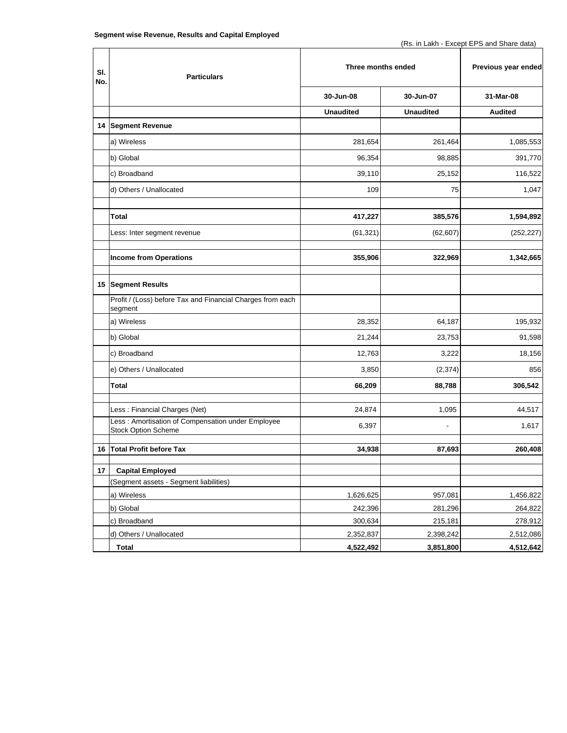| SI. | <b>Particulars</b>                                                              | Three months ended |                  | Previous year ended |
|-----|---------------------------------------------------------------------------------|--------------------|------------------|---------------------|
| No. |                                                                                 |                    |                  |                     |
|     |                                                                                 | 30-Jun-08          | 30-Jun-07        | 31-Mar-08           |
|     |                                                                                 | <b>Unaudited</b>   | <b>Unaudited</b> | <b>Audited</b>      |
|     | 14 Segment Revenue                                                              |                    |                  |                     |
|     | a) Wireless                                                                     | 281,654            | 261,464          | 1,085,553           |
|     | b) Global                                                                       | 96,354             | 98,885           | 391,770             |
|     | c) Broadband                                                                    | 39,110             | 25,152           | 116,522             |
|     | d) Others / Unallocated                                                         | 109                | 75               | 1,047               |
|     | Total                                                                           | 417,227            | 385,576          | 1,594,892           |
|     | Less: Inter segment revenue                                                     | (61, 321)          | (62, 607)        | (252, 227)          |
|     | <b>Income from Operations</b>                                                   | 355,906            | 322,969          | 1,342,665           |
|     | 15 Segment Results                                                              |                    |                  |                     |
|     | Profit / (Loss) before Tax and Financial Charges from each<br>segment           |                    |                  |                     |
|     | a) Wireless                                                                     | 28,352             | 64,187           | 195,932             |
|     | b) Global                                                                       | 21,244             | 23,753           | 91,598              |
|     | c) Broadband                                                                    | 12,763             | 3,222            | 18,156              |
|     | e) Others / Unallocated                                                         | 3,850              | (2, 374)         | 856                 |
|     | Total                                                                           | 66,209             | 88,788           | 306,542             |
|     | Less: Financial Charges (Net)                                                   | 24,874             | 1,095            | 44,517              |
|     | Less: Amortisation of Compensation under Employee<br><b>Stock Option Scheme</b> | 6,397              | $\blacksquare$   | 1,617               |
| 16  | <b>Total Profit before Tax</b>                                                  | 34,938             | 87,693           | 260,408             |
| 17  | <b>Capital Employed</b>                                                         |                    |                  |                     |
|     | (Segment assets - Segment liabilities)                                          |                    |                  |                     |
|     | a) Wireless                                                                     | 1,626,625          | 957,081          | 1,456,822           |
|     | b) Global                                                                       | 242,396            | 281,296          | 264,822             |
|     | c) Broadband                                                                    | 300,634            | 215,181          | 278,912             |
|     | d) Others / Unallocated                                                         | 2,352,837          | 2,398,242        | 2,512,086           |
|     | <b>Total</b>                                                                    | 4,522,492          | 3,851,800        | 4,512,642           |